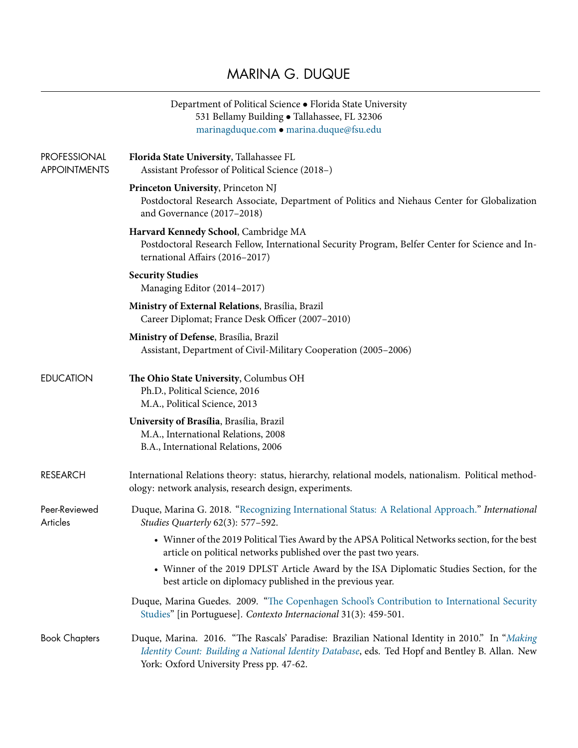## MARINA G. DUQUE

|                                            | Department of Political Science • Florida State University<br>531 Bellamy Building · Tallahassee, FL 32306<br>marinagduque.com · marina.duque@fsu.edu                                                                                       |
|--------------------------------------------|---------------------------------------------------------------------------------------------------------------------------------------------------------------------------------------------------------------------------------------------|
| <b>PROFESSIONAL</b><br><b>APPOINTMENTS</b> | Florida State University, Tallahassee FL<br>Assistant Professor of Political Science (2018–)                                                                                                                                                |
|                                            | Princeton University, Princeton NJ<br>Postdoctoral Research Associate, Department of Politics and Niehaus Center for Globalization<br>and Governance (2017-2018)                                                                            |
|                                            | Harvard Kennedy School, Cambridge MA<br>Postdoctoral Research Fellow, International Security Program, Belfer Center for Science and In-<br>ternational Affairs (2016-2017)                                                                  |
|                                            | <b>Security Studies</b><br>Managing Editor (2014-2017)                                                                                                                                                                                      |
|                                            | Ministry of External Relations, Brasília, Brazil<br>Career Diplomat; France Desk Officer (2007-2010)                                                                                                                                        |
|                                            | Ministry of Defense, Brasília, Brazil<br>Assistant, Department of Civil-Military Cooperation (2005-2006)                                                                                                                                    |
| <b>EDUCATION</b>                           | The Ohio State University, Columbus OH<br>Ph.D., Political Science, 2016<br>M.A., Political Science, 2013                                                                                                                                   |
|                                            | University of Brasília, Brasília, Brazil<br>M.A., International Relations, 2008<br>B.A., International Relations, 2006                                                                                                                      |
| <b>RESEARCH</b>                            | International Relations theory: status, hierarchy, relational models, nationalism. Political method-<br>ology: network analysis, research design, experiments.                                                                              |
| Peer-Reviewed<br><b>Articles</b>           | Duque, Marina G. 2018. "Recognizing International Status: A Relational Approach." International<br>Studies Quarterly 62(3): 577-592.                                                                                                        |
|                                            | • Winner of the 2019 Political Ties Award by the APSA Political Networks section, for the best<br>article on political networks published over the past two years.                                                                          |
|                                            | • Winner of the 2019 DPLST Article Award by the ISA Diplomatic Studies Section, for the<br>best article on diplomacy published in the previous year.                                                                                        |
|                                            | Duque, Marina Guedes. 2009. "The Copenhagen School's Contribution to International Security<br>Studies" [in Portuguese]. Contexto Internacional 31(3): 459-501.                                                                             |
| <b>Book Chapters</b>                       | Duque, Marina. 2016. "The Rascals' Paradise: Brazilian National Identity in 2010." In "Making<br>Identity Count: Building a National Identity Database, eds. Ted Hopf and Bentley B. Allan. New<br>York: Oxford University Press pp. 47-62. |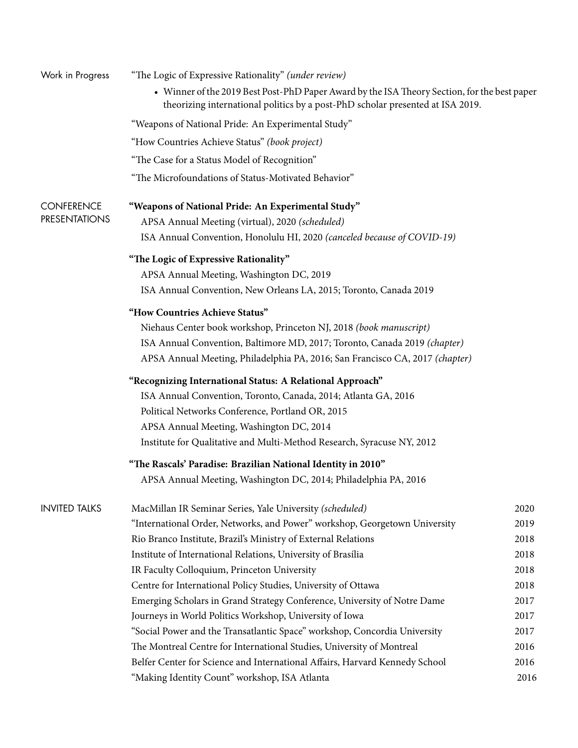| Work in Progress     | "The Logic of Expressive Rationality" (under review)                                                                                                                           |      |
|----------------------|--------------------------------------------------------------------------------------------------------------------------------------------------------------------------------|------|
|                      | • Winner of the 2019 Best Post-PhD Paper Award by the ISA Theory Section, for the best paper<br>theorizing international politics by a post-PhD scholar presented at ISA 2019. |      |
|                      | "Weapons of National Pride: An Experimental Study"                                                                                                                             |      |
|                      | "How Countries Achieve Status" (book project)                                                                                                                                  |      |
|                      | "The Case for a Status Model of Recognition"                                                                                                                                   |      |
|                      | "The Microfoundations of Status-Motivated Behavior"                                                                                                                            |      |
| <b>CONFERENCE</b>    | "Weapons of National Pride: An Experimental Study"                                                                                                                             |      |
| <b>PRESENTATIONS</b> | APSA Annual Meeting (virtual), 2020 (scheduled)                                                                                                                                |      |
|                      | ISA Annual Convention, Honolulu HI, 2020 (canceled because of COVID-19)                                                                                                        |      |
|                      | "The Logic of Expressive Rationality"                                                                                                                                          |      |
|                      | APSA Annual Meeting, Washington DC, 2019                                                                                                                                       |      |
|                      | ISA Annual Convention, New Orleans LA, 2015; Toronto, Canada 2019                                                                                                              |      |
|                      | "How Countries Achieve Status"                                                                                                                                                 |      |
|                      | Niehaus Center book workshop, Princeton NJ, 2018 (book manuscript)                                                                                                             |      |
|                      | ISA Annual Convention, Baltimore MD, 2017; Toronto, Canada 2019 (chapter)                                                                                                      |      |
|                      | APSA Annual Meeting, Philadelphia PA, 2016; San Francisco CA, 2017 (chapter)                                                                                                   |      |
|                      | "Recognizing International Status: A Relational Approach"                                                                                                                      |      |
|                      | ISA Annual Convention, Toronto, Canada, 2014; Atlanta GA, 2016                                                                                                                 |      |
|                      | Political Networks Conference, Portland OR, 2015                                                                                                                               |      |
|                      | APSA Annual Meeting, Washington DC, 2014                                                                                                                                       |      |
|                      | Institute for Qualitative and Multi-Method Research, Syracuse NY, 2012                                                                                                         |      |
|                      | "The Rascals' Paradise: Brazilian National Identity in 2010"                                                                                                                   |      |
|                      | APSA Annual Meeting, Washington DC, 2014; Philadelphia PA, 2016                                                                                                                |      |
| <b>INVITED TALKS</b> | MacMillan IR Seminar Series, Yale University (scheduled)                                                                                                                       | 2020 |
|                      | "International Order, Networks, and Power" workshop, Georgetown University                                                                                                     | 2019 |
|                      | Rio Branco Institute, Brazil's Ministry of External Relations                                                                                                                  | 2018 |
|                      | Institute of International Relations, University of Brasília                                                                                                                   | 2018 |
|                      | IR Faculty Colloquium, Princeton University                                                                                                                                    | 2018 |
|                      | Centre for International Policy Studies, University of Ottawa                                                                                                                  | 2018 |
|                      | Emerging Scholars in Grand Strategy Conference, University of Notre Dame                                                                                                       | 2017 |
|                      | Journeys in World Politics Workshop, University of Iowa                                                                                                                        | 2017 |
|                      | "Social Power and the Transatlantic Space" workshop, Concordia University                                                                                                      | 2017 |
|                      | The Montreal Centre for International Studies, University of Montreal                                                                                                          | 2016 |
|                      | Belfer Center for Science and International Affairs, Harvard Kennedy School                                                                                                    | 2016 |
|                      | "Making Identity Count" workshop, ISA Atlanta                                                                                                                                  | 2016 |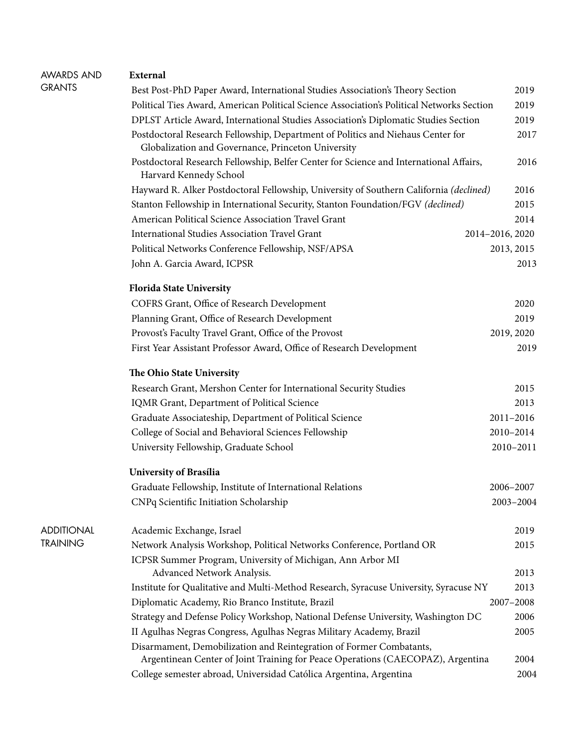| AWARDS AND    | External                                                                                                                                               |                 |
|---------------|--------------------------------------------------------------------------------------------------------------------------------------------------------|-----------------|
| <b>GRANTS</b> | Best Post-PhD Paper Award, International Studies Association's Theory Section                                                                          | 2019            |
|               | Political Ties Award, American Political Science Association's Political Networks Section                                                              | 2019            |
|               | DPLST Article Award, International Studies Association's Diplomatic Studies Section                                                                    | 2019            |
|               | Postdoctoral Research Fellowship, Department of Politics and Niehaus Center for<br>Globalization and Governance, Princeton University                  | 2017            |
|               | Postdoctoral Research Fellowship, Belfer Center for Science and International Affairs,<br>Harvard Kennedy School                                       | 2016            |
|               | Hayward R. Alker Postdoctoral Fellowship, University of Southern California (declined)                                                                 | 2016            |
|               | Stanton Fellowship in International Security, Stanton Foundation/FGV (declined)                                                                        | 2015            |
|               | American Political Science Association Travel Grant                                                                                                    | 2014            |
|               | <b>International Studies Association Travel Grant</b>                                                                                                  | 2014-2016, 2020 |
|               | Political Networks Conference Fellowship, NSF/APSA                                                                                                     | 2013, 2015      |
|               | John A. Garcia Award, ICPSR                                                                                                                            | 2013            |
|               | <b>Florida State University</b>                                                                                                                        |                 |
|               | COFRS Grant, Office of Research Development                                                                                                            | 2020            |
|               | Planning Grant, Office of Research Development                                                                                                         | 2019            |
|               | Provost's Faculty Travel Grant, Office of the Provost                                                                                                  | 2019, 2020      |
|               | First Year Assistant Professor Award, Office of Research Development                                                                                   | 2019            |
|               | The Ohio State University                                                                                                                              |                 |
|               | Research Grant, Mershon Center for International Security Studies                                                                                      | 2015            |
|               | IQMR Grant, Department of Political Science                                                                                                            | 2013            |
|               | Graduate Associateship, Department of Political Science                                                                                                | 2011-2016       |
|               | College of Social and Behavioral Sciences Fellowship                                                                                                   | 2010-2014       |
|               | University Fellowship, Graduate School                                                                                                                 | 2010-2011       |
|               | University of Brasília                                                                                                                                 |                 |
|               | Graduate Fellowship, Institute of International Relations                                                                                              | 2006-2007       |
|               | CNPq Scientific Initiation Scholarship                                                                                                                 | 2003-2004       |
| ADDITIONAL    | Academic Exchange, Israel                                                                                                                              | 2019            |
| TRAINING      | Network Analysis Workshop, Political Networks Conference, Portland OR                                                                                  | 2015            |
|               | ICPSR Summer Program, University of Michigan, Ann Arbor MI<br>Advanced Network Analysis.                                                               | 2013            |
|               | Institute for Qualitative and Multi-Method Research, Syracuse University, Syracuse NY                                                                  | 2013            |
|               | Diplomatic Academy, Rio Branco Institute, Brazil                                                                                                       | 2007-2008       |
|               | Strategy and Defense Policy Workshop, National Defense University, Washington DC                                                                       | 2006            |
|               | II Agulhas Negras Congress, Agulhas Negras Military Academy, Brazil                                                                                    | 2005            |
|               | Disarmament, Demobilization and Reintegration of Former Combatants,<br>Argentinean Center of Joint Training for Peace Operations (CAECOPAZ), Argentina | 2004            |
|               | College semester abroad, Universidad Católica Argentina, Argentina                                                                                     | 2004            |
|               |                                                                                                                                                        |                 |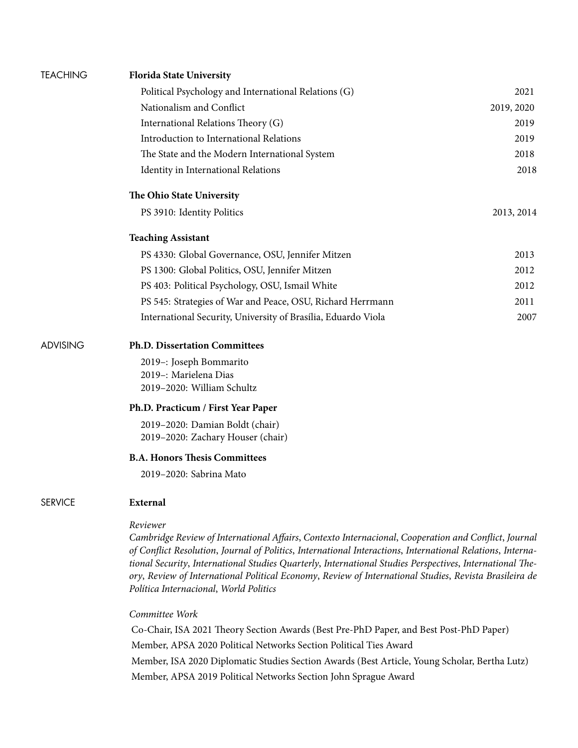| <b>TEACHING</b> | <b>Florida State University</b>                                                                                                                                                                                                                                                                                                                                                                                                                                                                |            |
|-----------------|------------------------------------------------------------------------------------------------------------------------------------------------------------------------------------------------------------------------------------------------------------------------------------------------------------------------------------------------------------------------------------------------------------------------------------------------------------------------------------------------|------------|
|                 | Political Psychology and International Relations (G)                                                                                                                                                                                                                                                                                                                                                                                                                                           | 2021       |
|                 | Nationalism and Conflict                                                                                                                                                                                                                                                                                                                                                                                                                                                                       | 2019, 2020 |
|                 | International Relations Theory (G)                                                                                                                                                                                                                                                                                                                                                                                                                                                             | 2019       |
|                 | Introduction to International Relations                                                                                                                                                                                                                                                                                                                                                                                                                                                        | 2019       |
|                 | The State and the Modern International System                                                                                                                                                                                                                                                                                                                                                                                                                                                  | 2018       |
|                 | Identity in International Relations                                                                                                                                                                                                                                                                                                                                                                                                                                                            | 2018       |
|                 | The Ohio State University                                                                                                                                                                                                                                                                                                                                                                                                                                                                      |            |
|                 | PS 3910: Identity Politics                                                                                                                                                                                                                                                                                                                                                                                                                                                                     | 2013, 2014 |
|                 | <b>Teaching Assistant</b>                                                                                                                                                                                                                                                                                                                                                                                                                                                                      |            |
|                 | PS 4330: Global Governance, OSU, Jennifer Mitzen                                                                                                                                                                                                                                                                                                                                                                                                                                               | 2013       |
|                 | PS 1300: Global Politics, OSU, Jennifer Mitzen                                                                                                                                                                                                                                                                                                                                                                                                                                                 | 2012       |
|                 | PS 403: Political Psychology, OSU, Ismail White                                                                                                                                                                                                                                                                                                                                                                                                                                                | 2012       |
|                 | PS 545: Strategies of War and Peace, OSU, Richard Herrmann                                                                                                                                                                                                                                                                                                                                                                                                                                     | 2011       |
|                 | International Security, University of Brasília, Eduardo Viola                                                                                                                                                                                                                                                                                                                                                                                                                                  | 2007       |
| <b>ADVISING</b> | <b>Ph.D. Dissertation Committees</b>                                                                                                                                                                                                                                                                                                                                                                                                                                                           |            |
|                 | 2019-: Joseph Bommarito<br>2019 -: Marielena Dias<br>2019-2020: William Schultz                                                                                                                                                                                                                                                                                                                                                                                                                |            |
|                 | Ph.D. Practicum / First Year Paper                                                                                                                                                                                                                                                                                                                                                                                                                                                             |            |
|                 | 2019-2020: Damian Boldt (chair)<br>2019-2020: Zachary Houser (chair)                                                                                                                                                                                                                                                                                                                                                                                                                           |            |
|                 | <b>B.A. Honors Thesis Committees</b>                                                                                                                                                                                                                                                                                                                                                                                                                                                           |            |
|                 | 2019-2020: Sabrina Mato                                                                                                                                                                                                                                                                                                                                                                                                                                                                        |            |
| <b>SERVICE</b>  | External                                                                                                                                                                                                                                                                                                                                                                                                                                                                                       |            |
|                 | Reviewer<br>Cambridge Review of International Affairs, Contexto Internacional, Cooperation and Conflict, Journal<br>of Conflict Resolution, Journal of Politics, International Interactions, International Relations, Interna-<br>tional Security, International Studies Quarterly, International Studies Perspectives, International The-<br>ory, Review of International Political Economy, Review of International Studies, Revista Brasileira de<br>Política Internacional, World Politics |            |
|                 | Committee Work                                                                                                                                                                                                                                                                                                                                                                                                                                                                                 |            |
|                 | Co-Chair, ISA 2021 Theory Section Awards (Best Pre-PhD Paper, and Best Post-PhD Paper)                                                                                                                                                                                                                                                                                                                                                                                                         |            |

Member, APSA 2020 Political Networks Section Political Ties Award

Member, ISA 2020 Diplomatic Studies Section Awards (Best Article, Young Scholar, Bertha Lutz) Member, APSA 2019 Political Networks Section John Sprague Award